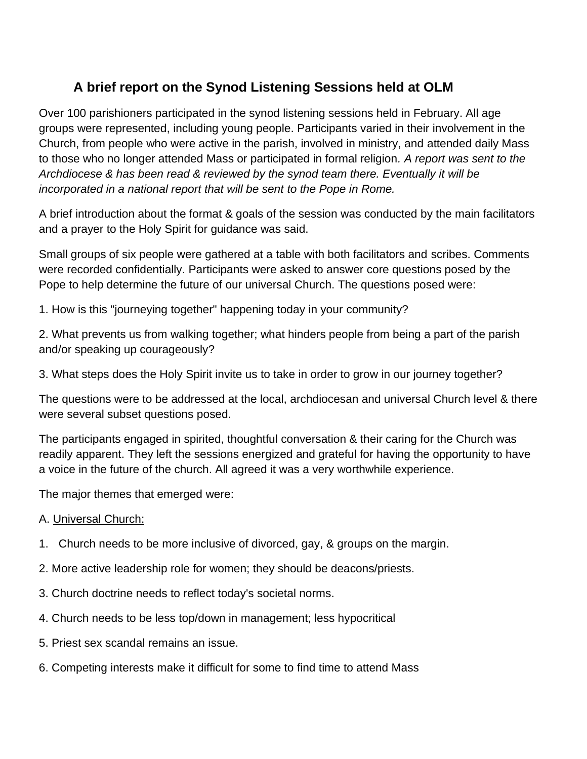## **A brief report on the Synod Listening Sessions held at OLM**

Over 100 parishioners participated in the synod listening sessions held in February. All age groups were represented, including young people. Participants varied in their involvement in the Church, from people who were active in the parish, involved in ministry, and attended daily Mass to those who no longer attended Mass or participated in formal religion*. A report was sent to the Archdiocese & has been read & reviewed by the synod team there. Eventually it will be incorporated in a national report that will be sent to the Pope in Rome.*

A brief introduction about the format & goals of the session was conducted by the main facilitators and a prayer to the Holy Spirit for guidance was said.

Small groups of six people were gathered at a table with both facilitators and scribes. Comments were recorded confidentially. Participants were asked to answer core questions posed by the Pope to help determine the future of our universal Church. The questions posed were:

1. How is this "journeying together" happening today in your community?

2. What prevents us from walking together; what hinders people from being a part of the parish and/or speaking up courageously?

3. What steps does the Holy Spirit invite us to take in order to grow in our journey together?

The questions were to be addressed at the local, archdiocesan and universal Church level & there were several subset questions posed.

The participants engaged in spirited, thoughtful conversation & their caring for the Church was readily apparent. They left the sessions energized and grateful for having the opportunity to have a voice in the future of the church. All agreed it was a very worthwhile experience.

The major themes that emerged were:

## A. Universal Church:

- 1. Church needs to be more inclusive of divorced, gay, & groups on the margin.
- 2. More active leadership role for women; they should be deacons/priests.
- 3. Church doctrine needs to reflect today's societal norms.
- 4. Church needs to be less top/down in management; less hypocritical
- 5. Priest sex scandal remains an issue.
- 6. Competing interests make it difficult for some to find time to attend Mass